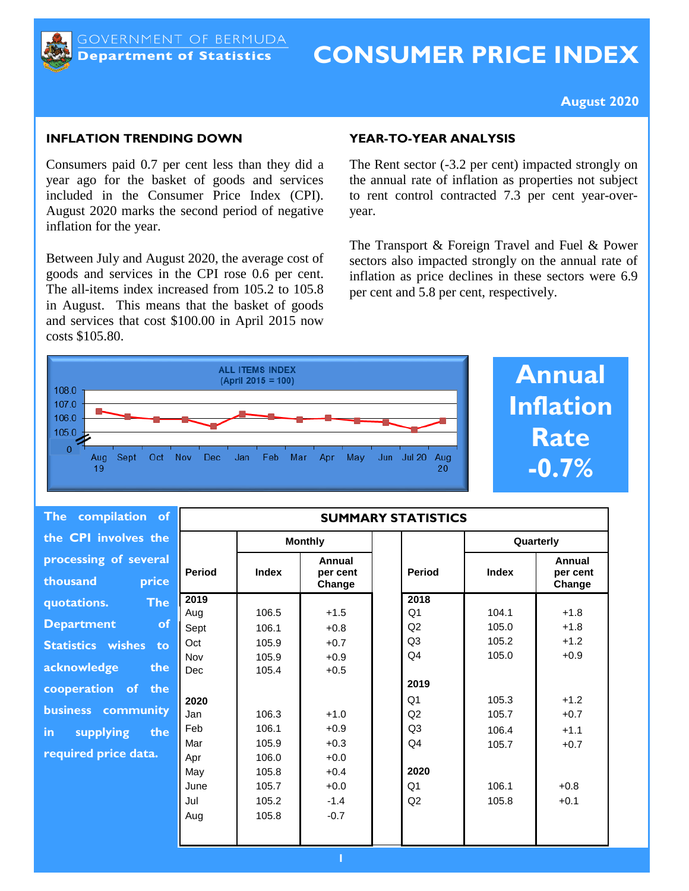

# **CONSUMER PRICE INDEX**

#### **August 2020**

#### **INFLATION TRENDING DOWN**

Consumers paid 0.7 per cent less than they did a year ago for the basket of goods and services included in the Consumer Price Index (CPI). August 2020 marks the second period of negative inflation for the year.

Between July and August 2020, the average cost of goods and services in the CPI rose 0.6 per cent. The all-items index increased from 105.2 to 105.8 in August. This means that the basket of goods and services that cost \$100.00 in April 2015 now costs \$105.80.

#### **YEAR-TO-YEAR ANALYSIS**

The Rent sector (-3.2 per cent) impacted strongly on the annual rate of inflation as properties not subject to rent control contracted 7.3 per cent year-overyear.

The Transport & Foreign Travel and Fuel & Power sectors also impacted strongly on the annual rate of inflation as price declines in these sectors were 6.9 per cent and 5.8 per cent, respectively.



**Annual Inflation Rate -0.7%**

| The compilation of                         | <b>SUMMARY STATISTICS</b> |                |                              |                        |                |                              |
|--------------------------------------------|---------------------------|----------------|------------------------------|------------------------|----------------|------------------------------|
| the CPI involves the                       |                           | <b>Monthly</b> |                              |                        | Quarterly      |                              |
| processing of several<br>price<br>thousand | <b>Period</b>             | <b>Index</b>   | Annual<br>per cent<br>Change | <b>Period</b>          | <b>Index</b>   | Annual<br>per cent<br>Change |
| <b>The</b><br>quotations.                  | 2019                      |                |                              | 2018                   |                |                              |
| <b>Department</b><br>of                    | Aug<br>Sept               | 106.5<br>106.1 | $+1.5$<br>$+0.8$             | Q <sub>1</sub><br>Q2   | 104.1<br>105.0 | $+1.8$<br>$+1.8$             |
| <b>Statistics wishes</b><br>to             | Oct                       | 105.9          | $+0.7$                       | Q3                     | 105.2          | $+1.2$                       |
| acknowledge<br>the                         | Nov<br>Dec                | 105.9<br>105.4 | $+0.9$<br>$+0.5$             | Q4                     | 105.0          | $+0.9$                       |
| cooperation of the                         | 2020                      |                |                              | 2019<br>Q <sub>1</sub> | 105.3          | $+1.2$                       |
| business community                         | Jan                       | 106.3          | $+1.0$                       | Q2                     | 105.7          | $+0.7$                       |
| supplying<br>the<br>in.                    | Feb                       | 106.1          | $+0.9$                       | Q3                     | 106.4          | $+1.1$                       |
| required price data.                       | Mar<br>Apr                | 105.9<br>106.0 | $+0.3$<br>$+0.0$             | Q <sub>4</sub>         | 105.7          | $+0.7$                       |
|                                            | May                       | 105.8          | $+0.4$                       | 2020                   |                |                              |
|                                            | June                      | 105.7          | $+0.0$                       | Q <sub>1</sub>         | 106.1          | $+0.8$                       |
|                                            | Jul                       | 105.2          | $-1.4$                       | Q2                     | 105.8          | $+0.1$                       |
|                                            | Aug                       | 105.8          | $-0.7$                       |                        |                |                              |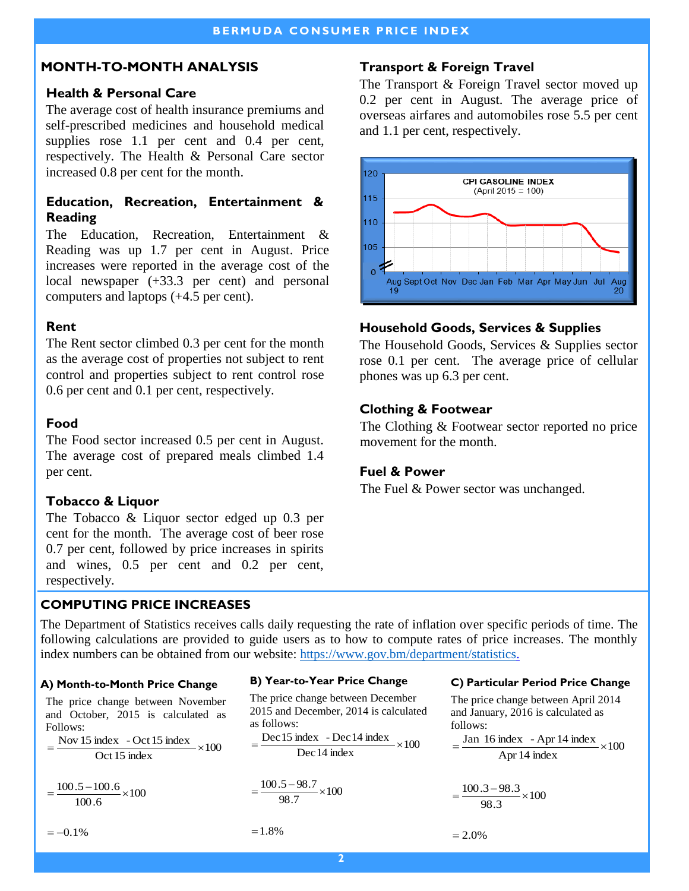## **MONTH-TO-MONTH ANALYSIS**

#### **Health & Personal Care**

The average cost of health insurance premiums and self-prescribed medicines and household medical supplies rose 1.1 per cent and 0.4 per cent, respectively. The Health & Personal Care sector increased 0.8 per cent for the month.

## **Education, Recreation, Entertainment & Reading**

The Education, Recreation, Entertainment & Reading was up 1.7 per cent in August. Price increases were reported in the average cost of the local newspaper (+33.3 per cent) and personal computers and laptops (+4.5 per cent).

#### **Rent**

The Rent sector climbed 0.3 per cent for the month as the average cost of properties not subject to rent control and properties subject to rent control rose 0.6 per cent and 0.1 per cent, respectively.

#### **Food**

The Food sector increased 0.5 per cent in August. The average cost of prepared meals climbed 1.4 per cent.

## **Tobacco & Liquor**

The Tobacco & Liquor sector edged up 0.3 per cent for the month. The average cost of beer rose 0.7 per cent, followed by price increases in spirits and wines, 0.5 per cent and 0.2 per cent, respectively.

# **Transport & Foreign Travel**

The Transport & Foreign Travel sector moved up 0.2 per cent in August. The average price of overseas airfares and automobiles rose 5.5 per cent and 1.1 per cent, respectively.



# **Household Goods, Services & Supplies**

The Household Goods, Services & Supplies sector rose 0.1 per cent. The average price of cellular phones was up 6.3 per cent.

#### **Clothing & Footwear**

The Clothing & Footwear sector reported no price movement for the month.

## **Fuel & Power**

The Fuel & Power sector was unchanged.

## **COMPUTING PRICE INCREASES**

The Department of Statistics receives calls daily requesting the rate of inflation over specific periods of time. The following calculations are provided to guide users as to how to compute rates of price increases. The monthly index numbers can be obtained from our website: [https://www.gov.bm/department/statistics.](https://www.gov.bm/department/statistics) 

#### **A) Month-to-Month Price Change**

The price change between November and October, 2015 is calculated as Follows:

 $- \times 100$ Oct 15 index  $=\frac{\text{Nov }15 \text{ index } - \text{Oct }15 \text{ index}}{8 \text{ rad/s } + 1.5 \text{ index}} \times$ 

 $\frac{100.5 - 100.6}{100.5} \times 100$ 100.6  $= -$ 

$$
=-0.1\%
$$

#### **B) Year-to-Year Price Change**

The price change between December 2015 and December, 2014 is calculated as follows:

$$
= \frac{\text{Dec 15 index} - \text{Dec 14 index}}{\text{Dec 14 index}} \times 100
$$

$$
=\frac{100.5-98.7}{98.7}\times100
$$

 $=1.8%$ 

#### **C ) Particular Period Price Change**

The price change between April 2014 and January, 2016 is calculated as follows:

$$
= \frac{\text{Jan 16 index } - \text{Apr 14 index}}{\text{Apr 14 index}} \times 100
$$

$$
=\frac{100.3-98.3}{98.3}\times100
$$

 $= 2.0\%$ 

**2**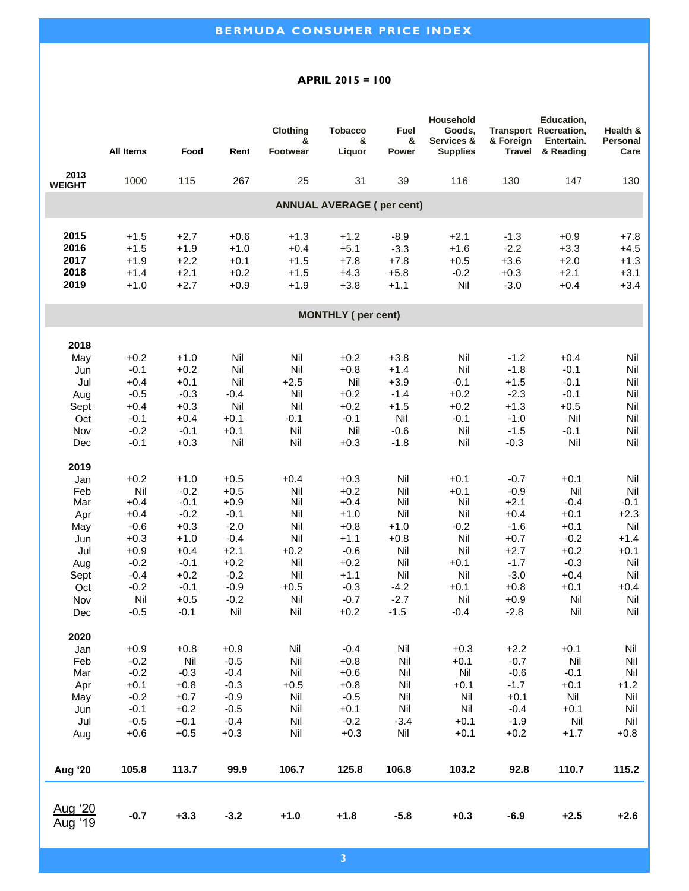#### **APRIL 2015 = 100**

|                              |                                      |                                      |                                      | Clothing                             | <b>Tobacco</b>                       | Fuel                                 | Household<br>Goods,                  |                                      | Education,<br>Transport Recreation,  | Health &                             |  |
|------------------------------|--------------------------------------|--------------------------------------|--------------------------------------|--------------------------------------|--------------------------------------|--------------------------------------|--------------------------------------|--------------------------------------|--------------------------------------|--------------------------------------|--|
|                              | <b>All Items</b>                     | Food                                 | Rent                                 | &<br><b>Footwear</b>                 | &<br>Liquor                          | &<br>Power                           | Services &<br><b>Supplies</b>        | & Foreign<br><b>Travel</b>           | Entertain.<br>& Reading              | Personal<br>Care                     |  |
| 2013<br><b>WEIGHT</b>        | 1000                                 | 115                                  | 267                                  | 25                                   | 31                                   | 39                                   | 116                                  | 130                                  | 147                                  | 130                                  |  |
|                              | <b>ANNUAL AVERAGE (per cent)</b>     |                                      |                                      |                                      |                                      |                                      |                                      |                                      |                                      |                                      |  |
| 2015<br>2016<br>2017<br>2018 | $+1.5$<br>$+1.5$<br>$+1.9$<br>$+1.4$ | $+2.7$<br>$+1.9$<br>$+2.2$<br>$+2.1$ | $+0.6$<br>$+1.0$<br>$+0.1$<br>$+0.2$ | $+1.3$<br>$+0.4$<br>$+1.5$<br>$+1.5$ | $+1.2$<br>$+5.1$<br>$+7.8$<br>$+4.3$ | $-8.9$<br>$-3.3$<br>$+7.8$<br>$+5.8$ | $+2.1$<br>$+1.6$<br>$+0.5$<br>$-0.2$ | $-1.3$<br>$-2.2$<br>$+3.6$<br>$+0.3$ | $+0.9$<br>$+3.3$<br>$+2.0$<br>$+2.1$ | $+7.8$<br>$+4.5$<br>$+1.3$<br>$+3.1$ |  |
| 2019                         | $+1.0$                               | $+2.7$                               | $+0.9$                               | $+1.9$                               | $+3.8$                               | $+1.1$                               | Nil                                  | $-3.0$                               | $+0.4$                               | $+3.4$                               |  |
| <b>MONTHLY</b> (per cent)    |                                      |                                      |                                      |                                      |                                      |                                      |                                      |                                      |                                      |                                      |  |
| 2018                         |                                      |                                      |                                      |                                      |                                      |                                      |                                      |                                      |                                      |                                      |  |
| May                          | $+0.2$                               | $+1.0$                               | Nil                                  | Nil                                  | $+0.2$                               | $+3.8$                               | Nil                                  | $-1.2$                               | $+0.4$                               | Nil                                  |  |
| Jun                          | $-0.1$                               | $+0.2$                               | Nil                                  | Nil                                  | $+0.8$                               | $+1.4$                               | Nil                                  | $-1.8$                               | $-0.1$                               | Nil                                  |  |
| Jul                          | $+0.4$                               | $+0.1$                               | Nil                                  | $+2.5$                               | Nil                                  | $+3.9$                               | $-0.1$                               | $+1.5$                               | $-0.1$                               | Nil                                  |  |
| Aug                          | $-0.5$                               | $-0.3$                               | $-0.4$                               | Nil                                  | $+0.2$                               | $-1.4$                               | $+0.2$                               | $-2.3$                               | $-0.1$                               | Nil                                  |  |
| Sept                         | $+0.4$                               | $+0.3$                               | Nil                                  | Nil                                  | $+0.2$                               | $+1.5$                               | $+0.2$                               | $+1.3$                               | $+0.5$                               | Nil                                  |  |
| Oct                          | $-0.1$                               | $+0.4$                               | $+0.1$                               | $-0.1$                               | $-0.1$                               | Nil                                  | $-0.1$                               | $-1.0$                               | Nil                                  | Nil                                  |  |
| Nov                          | $-0.2$                               | $-0.1$                               | $+0.1$                               | Nil                                  | Nil                                  | $-0.6$                               | Nil                                  | $-1.5$                               | $-0.1$                               | Nil                                  |  |
| Dec                          | $-0.1$                               | $+0.3$                               | Nil                                  | Nil                                  | $+0.3$                               | $-1.8$                               | Nil                                  | $-0.3$                               | Nil                                  | Nil                                  |  |
| 2019                         |                                      |                                      |                                      |                                      |                                      |                                      |                                      |                                      |                                      |                                      |  |
| Jan                          | $+0.2$                               | $+1.0$                               | $+0.5$                               | $+0.4$                               | $+0.3$                               | Nil                                  | $+0.1$                               | $-0.7$                               | $+0.1$                               | Nil                                  |  |
| Feb                          | Nil                                  | $-0.2$                               | $+0.5$                               | Nil                                  | $+0.2$                               | Nil                                  | $+0.1$                               | $-0.9$                               | Nil                                  | Nil                                  |  |
| Mar                          | $+0.4$                               | $-0.1$                               | $+0.9$                               | Nil                                  | $+0.4$                               | Nil                                  | Nil                                  | $+2.1$                               | $-0.4$                               | $-0.1$                               |  |
| Apr                          | $+0.4$                               | $-0.2$                               | $-0.1$                               | Nil                                  | $+1.0$                               | Nil                                  | Nil                                  | $+0.4$                               | $+0.1$                               | $+2.3$                               |  |
| May                          | $-0.6$                               | $+0.3$                               | $-2.0$                               | Nil                                  | $+0.8$                               | $+1.0$                               | $-0.2$                               | $-1.6$                               | $+0.1$                               | Nil                                  |  |
| Jun                          | $+0.3$                               | $+1.0$                               | $-0.4$                               | Nil                                  | $+1.1$                               | $+0.8$                               | Nil                                  | $+0.7$                               | $-0.2$                               | $+1.4$                               |  |
| Jul                          | $+0.9$                               | $+0.4$                               | $+2.1$                               | $+0.2$                               | $-0.6$                               | Nil                                  | Nil                                  | $+2.7$                               | $+0.2$                               | $+0.1$                               |  |
| Aug                          | $-0.2$                               | $-0.1$                               | $+0.2$                               | Nil                                  | $+0.2$                               | Nil                                  | $+0.1$                               | $-1.7$                               | $-0.3$                               | Nil                                  |  |
| Sept                         | $-0.4$                               | $+0.2$                               | $-0.2$                               | Nil                                  | $+1.1$                               | Nil                                  | Nil                                  | $-3.0$                               | $+0.4$                               | Nil                                  |  |
| Oct                          | $-0.2$                               | $-0.1$                               | $-0.9$                               | $+0.5$                               | $-0.3$                               | $-4.2$                               | $+0.1$                               | $+0.8$                               | $+0.1$                               | $+0.4$                               |  |
| Nov                          | Nil                                  | $+0.5$                               | $-0.2$                               | Nil                                  | $-0.7$                               | $-2.7$                               | Nil                                  | $+0.9$                               | Nil                                  | Nil                                  |  |
| Dec                          | $-0.5$                               | $-0.1$                               | Nil                                  | Nil                                  | $+0.2$                               | $-1.5$                               | $-0.4$                               | $-2.8$                               | Nil                                  | Nil                                  |  |
| 2020                         |                                      |                                      |                                      |                                      |                                      |                                      |                                      |                                      |                                      |                                      |  |
| Jan                          | $+0.9$                               | $+0.8$                               | $+0.9$                               | Nil                                  | $-0.4$                               | Nil                                  | $+0.3$                               | $+2.2$                               | $+0.1$                               | Nil                                  |  |
| Feb                          | $-0.2$                               | Nil                                  | $-0.5$                               | Nil                                  | $+0.8$                               | Nil                                  | $+0.1$                               | $-0.7$                               | Nil                                  | Nil                                  |  |
| Mar                          | $-0.2$                               | $-0.3$                               | $-0.4$                               | Nil                                  | $+0.6$                               | Nil                                  | Nil                                  | $-0.6$                               | $-0.1$                               | Nil                                  |  |
| Apr                          | $+0.1$                               | $+0.8$                               | $-0.3$                               | $+0.5$                               | $+0.8$                               | Nil                                  | $+0.1$                               | $-1.7$                               | $+0.1$                               | $+1.2$                               |  |
| May                          | $-0.2$                               | $+0.7$                               | $-0.9$                               | Nil                                  | $-0.5$                               | Nil                                  | Nil                                  | $+0.1$                               | Nil                                  | Nil                                  |  |
| Jun                          | $-0.1$                               | $+0.2$                               | $-0.5$                               | Nil                                  | $+0.1$                               | Nil                                  | Nil                                  | $-0.4$                               | $+0.1$                               | Nil                                  |  |
| Jul                          | $-0.5$                               | $+0.1$                               | $-0.4$                               | Nil                                  | $-0.2$                               | $-3.4$                               | $+0.1$                               | $-1.9$                               | Nil                                  | Nil                                  |  |
| Aug                          | $+0.6$                               | $+0.5$                               | $+0.3$                               | Nil                                  | $+0.3$                               | Nil                                  | $+0.1$                               | $+0.2$                               | $+1.7$                               | $+0.8$                               |  |
| Aug '20                      | 105.8                                | 113.7                                | 99.9                                 | 106.7                                | 125.8                                | 106.8                                | 103.2                                | 92.8                                 | 110.7                                | 115.2                                |  |
| Aug '20<br>Aug '19           | $-0.7$                               | $+3.3$                               | $-3.2$                               | $+1.0$                               | $+1.8$                               | $-5.8$                               | $+0.3$                               | $-6.9$                               | $+2.5$                               | $+2.6$                               |  |